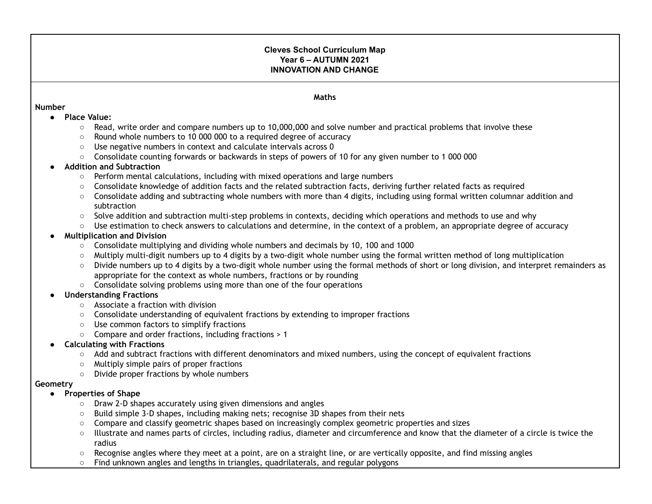### **Cleves School Curriculum Map Year 6 – AUTUMN 2021 INNOVATION AND CHANGE**

#### **Number**

#### **Maths**

- **● Place Value:**
	- Read, write order and compare numbers up to 10,000,000 and solve number and practical problems that involve these
	- Round whole numbers to 10 000 000 to a required degree of accuracy
	- Use negative numbers in context and calculate intervals across 0
	- Consolidate counting forwards or backwards in steps of powers of 10 for any given number to 1 000 000

#### **● Addition and Subtraction**

- **○** Perform mental calculations, including with mixed operations and large numbers
- Consolidate knowledge of addition facts and the related subtraction facts, deriving further related facts as required
- Consolidate adding and subtracting whole numbers with more than 4 digits, including using formal written columnar addition and subtraction
- Solve addition and subtraction multi-step problems in contexts, deciding which operations and methods to use and why
- Use estimation to check answers to calculations and determine, in the context of a problem, an appropriate degree of accuracy

### **● Multiplication and Division**

- Consolidate multiplying and dividing whole numbers and decimals by 10, 100 and 1000
- Multiply multi-digit numbers up to 4 digits by a two-digit whole number using the formal written method of long multiplication
- Divide numbers up to 4 digits by a two-digit whole number using the formal methods of short or long division, and interpret remainders as appropriate for the context as whole numbers, fractions or by rounding
- Consolidate solving problems using more than one of the four operations

## **● Understanding Fractions**

- Associate a fraction with division
- Consolidate understanding of equivalent fractions by extending to improper fractions
- Use common factors to simplify fractions
- Compare and order fractions, including fractions > 1

### **● Calculating with Fractions**

- Add and subtract fractions with different denominators and mixed numbers, using the concept of equivalent fractions
- Multiply simple pairs of proper fractions
- Divide proper fractions by whole numbers

#### **Geometry**

### **● Properties of Shape**

- Draw 2-D shapes accurately using given dimensions and angles
- Build simple 3-D shapes, including making nets; recognise 3D shapes from their nets
- Compare and classify geometric shapes based on increasingly complex geometric properties and sizes
- Illustrate and names parts of circles, including radius, diameter and circumference and know that the diameter of a circle is twice the radius
- Recognise angles where they meet at a point, are on a straight line, or are vertically opposite, and find missing angles
- Find unknown angles and lengths in triangles, quadrilaterals, and regular polygons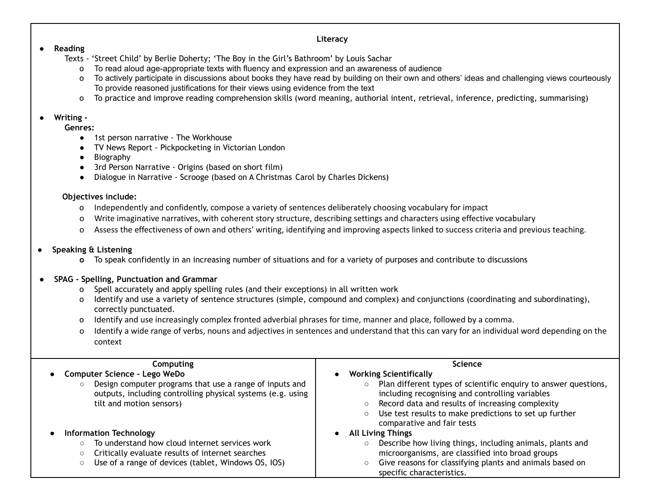### **Literacy**

### ● **Reading**

- Texts 'Street Child' by Berlie Doherty; 'The Boy in the Girl's Bathroom' by Louis Sachar
	- o To read aloud age-appropriate texts with fluency and expression and an awareness of audience
	- o To actively participate in discussions about books they have read by building on their own and others' ideas and challenging views courteously To provide reasoned justifications for their views using evidence from the text
	- o To practice and improve reading comprehension skills (word meaning, authorial intent, retrieval, inference, predicting, summarising)

## ● **Writing -**

**Genres:**

- 1st person narrative The Workhouse
- TV News Report Pickpocketing in Victorian London
- **Biography**
- 3rd Person Narrative Origins (based on short film)
- Dialogue in Narrative Scrooge (based on A Christmas Carol by Charles Dickens)

## **Objectives include:**

- o Independently and confidently, compose a variety of sentences deliberately choosing vocabulary for impact
- o Write imaginative narratives, with coherent story structure, describing settings and characters using effective vocabulary
- o Assess the effectiveness of own and others' writing, identifying and improving aspects linked to success criteria and previous teaching.

# **● Speaking & Listening**

**o** To speak confidently in an increasing number of situations and for a variety of purposes and contribute to discussions

# ● **SPAG - Spelling, Punctuation and Grammar**

- o Spell accurately and apply spelling rules (and their exceptions) in all written work
- o Identify and use a variety of sentence structures (simple, compound and complex) and conjunctions (coordinating and subordinating), correctly punctuated.
- o Identify and use increasingly complex fronted adverbial phrases for time, manner and place, followed by a comma.
- o Identify a wide range of verbs, nouns and adjectives in sentences and understand that this can vary for an individual word depending on the context

| Computing<br>Computer Science - Lego WeDo<br>Design computer programs that use a range of inputs and<br>outputs, including controlling physical systems (e.g. using<br>tilt and motion sensors)       | <b>Science</b><br><b>Working Scientifically</b><br>Plan different types of scientific enquiry to answer questions,<br>$\circ$<br>including recognising and controlling variables<br>Record data and results of increasing complexity                                                                                                             |  |
|-------------------------------------------------------------------------------------------------------------------------------------------------------------------------------------------------------|--------------------------------------------------------------------------------------------------------------------------------------------------------------------------------------------------------------------------------------------------------------------------------------------------------------------------------------------------|--|
| <b>Information Technology</b><br>To understand how cloud internet services work<br>$\circ$<br>Critically evaluate results of internet searches<br>Use of a range of devices (tablet, Windows OS, IOS) | Use test results to make predictions to set up further<br>$\circ$<br>comparative and fair tests<br><b>All Living Things</b><br>Describe how living things, including animals, plants and<br>$\circ$<br>microorganisms, are classified into broad groups<br>Give reasons for classifying plants and animals based on<br>specific characteristics. |  |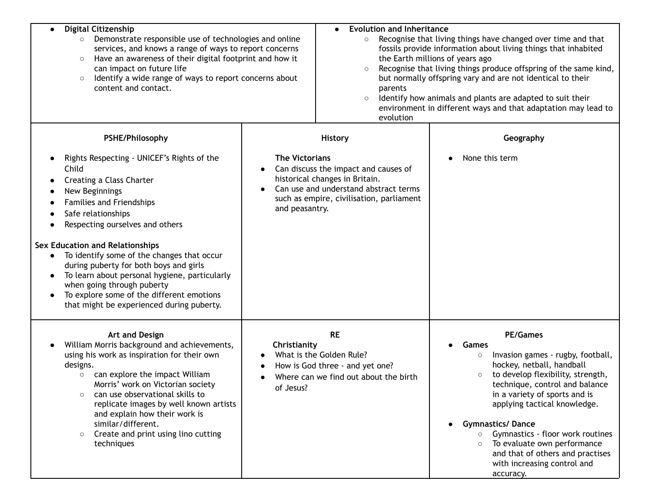| <b>Digital Citizenship</b><br>Demonstrate responsible use of technologies and online<br>$\circ$<br>services, and knows a range of ways to report concerns<br>Have an awareness of their digital footprint and how it<br>$\circ$<br>can impact on future life<br>Identify a wide range of ways to report concerns about<br>$\circ$<br>content and contact.                                                                                                                                                                                           |                                         | <b>Evolution and Inheritance</b><br>$\bullet$<br>Recognise that living things have changed over time and that<br>$\circ$<br>fossils provide information about living things that inhabited<br>the Earth millions of years ago<br>Recognise that living things produce offspring of the same kind,<br>$\circ$<br>but normally offspring vary and are not identical to their<br>parents<br>Identify how animals and plants are adapted to suit their<br>$\circ$<br>environment in different ways and that adaptation may lead to<br>evolution |                                                                                                                                                                                                                                                                                                                                                                                                                                                              |
|-----------------------------------------------------------------------------------------------------------------------------------------------------------------------------------------------------------------------------------------------------------------------------------------------------------------------------------------------------------------------------------------------------------------------------------------------------------------------------------------------------------------------------------------------------|-----------------------------------------|---------------------------------------------------------------------------------------------------------------------------------------------------------------------------------------------------------------------------------------------------------------------------------------------------------------------------------------------------------------------------------------------------------------------------------------------------------------------------------------------------------------------------------------------|--------------------------------------------------------------------------------------------------------------------------------------------------------------------------------------------------------------------------------------------------------------------------------------------------------------------------------------------------------------------------------------------------------------------------------------------------------------|
| PSHE/Philosophy                                                                                                                                                                                                                                                                                                                                                                                                                                                                                                                                     |                                         | <b>History</b>                                                                                                                                                                                                                                                                                                                                                                                                                                                                                                                              | Geography                                                                                                                                                                                                                                                                                                                                                                                                                                                    |
| Rights Respecting - UNICEF's Rights of the<br>$\bullet$<br>Child<br>Creating a Class Charter<br>c<br>New Beginnings<br>Families and Friendships<br>Safe relationships<br>Respecting ourselves and others<br>Sex Education and Relationships<br>To identify some of the changes that occur<br>$\bullet$<br>during puberty for both boys and girls<br>To learn about personal hygiene, particularly<br>$\bullet$<br>when going through puberty<br>To explore some of the different emotions<br>$\bullet$<br>that might be experienced during puberty. | <b>The Victorians</b><br>and peasantry. | Can discuss the impact and causes of<br>historical changes in Britain.<br>Can use and understand abstract terms<br>such as empire, civilisation, parliament                                                                                                                                                                                                                                                                                                                                                                                 | None this term                                                                                                                                                                                                                                                                                                                                                                                                                                               |
| Art and Design<br>William Morris background and achievements,<br>$\bullet$<br>using his work as inspiration for their own<br>designs.<br>can explore the impact William<br>$\circ$<br>Morris' work on Victorian society<br>can use observational skills to<br>replicate images by well known artists<br>and explain how their work is<br>similar/different.<br>Create and print using lino cutting<br>techniques                                                                                                                                    | Christianity<br>of Jesus?               | <b>RE</b><br>What is the Golden Rule?<br>How is God three - and yet one?<br>Where can we find out about the birth                                                                                                                                                                                                                                                                                                                                                                                                                           | <b>PE/Games</b><br>Games<br>Invasion games - rugby, football,<br>$\circ$<br>hockey, netball, handball<br>to develop flexibility, strength,<br>$\circ$<br>technique, control and balance<br>in a variety of sports and is<br>applying tactical knowledge.<br><b>Gymnastics/Dance</b><br>Gymnastics - floor work routines<br>$\circ$<br>To evaluate own performance<br>$\circ$<br>and that of others and practises<br>with increasing control and<br>accuracy. |